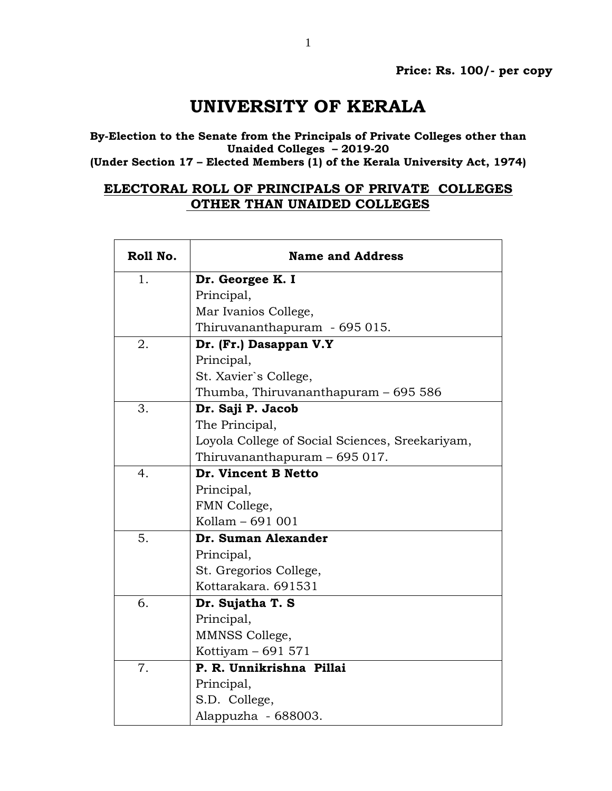## **UNIVERSITY OF KERALA**

**By-Election to the Senate from the Principals of Private Colleges other than Unaided Colleges – 2019-20 (Under Section 17 – Elected Members (1) of the Kerala University Act, 1974)**

## **ELECTORAL ROLL OF PRINCIPALS OF PRIVATE COLLEGES**

## **OTHER THAN UNAIDED COLLEGES**

| Roll No.         | <b>Name and Address</b>                         |
|------------------|-------------------------------------------------|
| 1.               | Dr. Georgee K. I                                |
|                  | Principal,                                      |
|                  | Mar Ivanios College,                            |
|                  | Thiruvananthapuram - 695 015.                   |
| 2.               | Dr. (Fr.) Dasappan V.Y                          |
|                  | Principal,                                      |
|                  | St. Xavier's College,                           |
|                  | Thumba, Thiruvananthapuram – 695 586            |
| 3.               | Dr. Saji P. Jacob                               |
|                  | The Principal,                                  |
|                  | Loyola College of Social Sciences, Sreekariyam, |
|                  | Thiruvananthapuram – 695 017.                   |
| $\overline{4}$ . | Dr. Vincent B Netto                             |
|                  | Principal,                                      |
|                  | FMN College,                                    |
|                  | Kollam - 691 001                                |
| 5.               | Dr. Suman Alexander                             |
|                  | Principal,                                      |
|                  | St. Gregorios College,                          |
|                  | Kottarakara, 691531                             |
| 6.               | Dr. Sujatha T. S                                |
|                  | Principal,                                      |
|                  | MMNSS College,                                  |
|                  | Kottiyam $-691571$                              |
| 7.               | P. R. Unnikrishna Pillai                        |
|                  | Principal,                                      |
|                  | S.D. College,                                   |
|                  | Alappuzha - 688003.                             |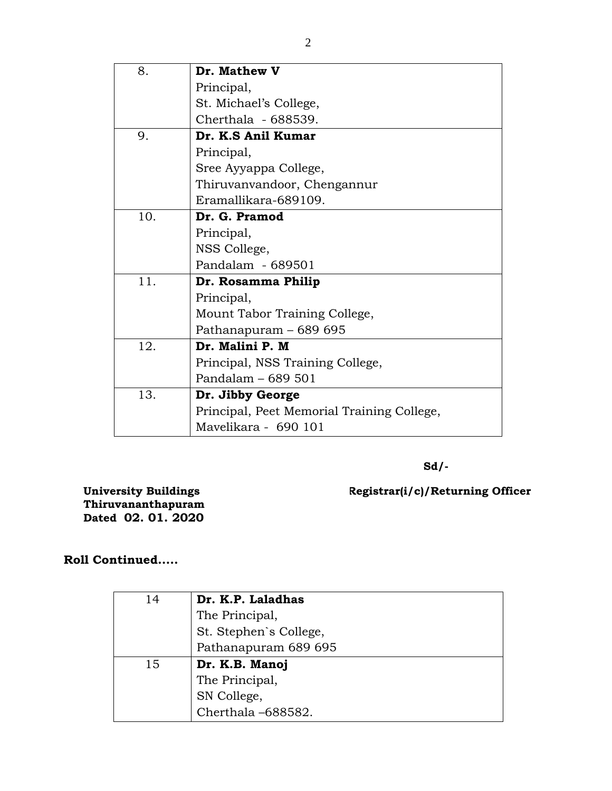| 8.  | Dr. Mathew V                               |
|-----|--------------------------------------------|
|     | Principal,                                 |
|     | St. Michael's College,                     |
|     | Cherthala - 688539.                        |
| 9.  | Dr. K.S Anil Kumar                         |
|     | Principal,                                 |
|     | Sree Ayyappa College,                      |
|     | Thiruvanvandoor, Chengannur                |
|     | Eramallikara-689109.                       |
| 10. | Dr. G. Pramod                              |
|     | Principal,                                 |
|     | NSS College,                               |
|     | Pandalam - 689501                          |
| 11. | Dr. Rosamma Philip                         |
|     | Principal,                                 |
|     | Mount Tabor Training College,              |
|     | Pathanapuram - 689 695                     |
| 12. | Dr. Malini P. M                            |
|     | Principal, NSS Training College,           |
|     | Pandalam - 689 501                         |
| 13. | Dr. Jibby George                           |
|     | Principal, Peet Memorial Training College, |
|     | Mavelikara - 690 101                       |

**Sd/-**

**Registrar(i/c)/Returning Officer** 

**University Buildings Thiruvananthapuram Dated 02. 01. 2020**

## **Roll Continued.....**

| 14 | Dr. K.P. Laladhas      |
|----|------------------------|
|    | The Principal,         |
|    | St. Stephen's College, |
|    | Pathanapuram 689 695   |
| 15 | Dr. K.B. Manoj         |
|    | The Principal,         |
|    | SN College,            |
|    | Cherthala-688582.      |